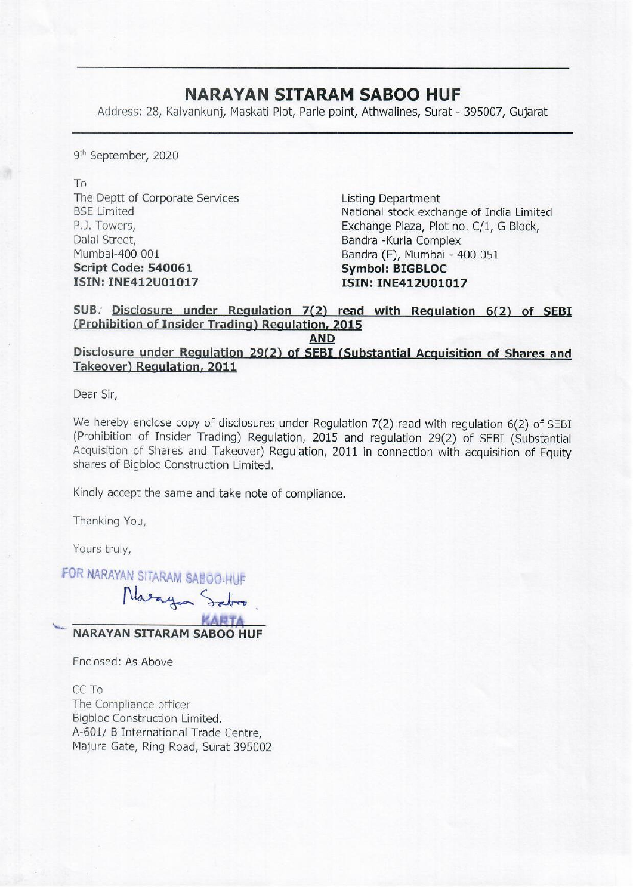## NARAYAN SITARAM SABOO HUF

**NARAYAN SITAR**<br>Address: 28, Kalyankunj, Maskati Plot, Parle Address: 28, Kalyankunj, Maskati Plot, Parle point, Athwalines, Surat - 395007, Gujarat

9<sup>th</sup> September, 2020

To The Deptt of Corporate Services Listing Department Dalal Street, **Bandra -Kurla Complex** Mumbai-400 001 **Bandra (E), Mumbai - 400 051** Script Code: 540061 Symbol: BIGBLOC ISIN: INE412U01017 ISIN: INE412U01017

BSE Limited National stock exchange of India Limited P.J. Towers, Exchange Plaza, Plot no. C/1, G Block,

SUB. Disclosure under Regulation 7(2) read with Regulation 6(2) of SEBI (Prohibition of Insider Trading) Regulation, 2015

AND

Disclosure under Regulation 29(2) of SEBI (Substantial Acquisition of Shares and Takeover) Regulation, 2011

Dear Sir,

We hereby enclose copy of disclosures under Regulation 7(2) read with regulation 6(2) of SEBI (Prohibition of Insider Trading) Regulation, 2015 and regulation 29(2) of SEBI (Substantial Acquisition of Shares and Takeover) shares of Bigbloc Construction Limited.

Kindly accept the same and take note of compliance.

Thanking You,

Yours truly,

FOR NARAYAN SITARAM

Yours truly,<br>FOR NARAYAN SITARAM SABOO-HUF<br>NARAYAN SITARAM SABOO HUF

Enclosed: As Above

CC To The Compliance officer Bigbloc Construction Limited. A-601/ B International Trade Centre, Majura Gate, Ring Road, Surat 395002